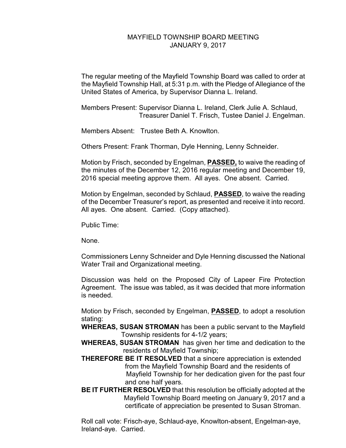## MAYFIELD TOWNSHIP BOARD MEETING JANUARY 9, 2017

The regular meeting of the Mayfield Township Board was called to order at the Mayfield Township Hall, at 5:31 p.m. with the Pledge of Allegiance of the United States of America, by Supervisor Dianna L. Ireland.

Members Present: Supervisor Dianna L. Ireland, Clerk Julie A. Schlaud, Treasurer Daniel T. Frisch, Tustee Daniel J. Engelman.

Members Absent: Trustee Beth A. Knowlton.

Others Present: Frank Thorman, Dyle Henning, Lenny Schneider.

Motion by Frisch, seconded by Engelman, **PASSED,** to waive the reading of the minutes of the December 12, 2016 regular meeting and December 19, 2016 special meeting approve them. All ayes. One absent. Carried.

Motion by Engelman, seconded by Schlaud, **PASSED**, to waive the reading of the December Treasurer's report, as presented and receive it into record. All ayes. One absent. Carried. (Copy attached).

Public Time:

None.

Commissioners Lenny Schneider and Dyle Henning discussed the National Water Trail and Organizational meeting.

Discussion was held on the Proposed City of Lapeer Fire Protection Agreement. The issue was tabled, as it was decided that more information is needed.

Motion by Frisch, seconded by Engelman, **PASSED**, to adopt a resolution stating:

**WHEREAS, SUSAN STROMAN** has been a public servant to the Mayfield Township residents for 4-1/2 years;

- **WHEREAS, SUSAN STROMAN** has given her time and dedication to the residents of Mayfield Township;
- **THEREFORE BE IT RESOLVED** that a sincere appreciation is extended from the Mayfield Township Board and the residents of Mayfield Township for her dedication given for the past four and one half years.
- **BE IT FURTHER RESOLVED** that this resolution be officially adopted at the Mayfield Township Board meeting on January 9, 2017 and a certificate of appreciation be presented to Susan Stroman.

Roll call vote: Frisch-aye, Schlaud-aye, Knowlton-absent, Engelman-aye, Ireland-aye. Carried.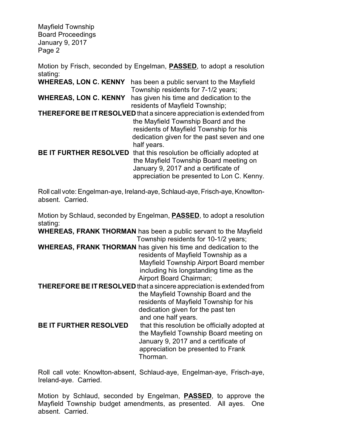Mayfield Township Board Proceedings January 9, 2017 Page 2

Motion by Frisch, seconded by Engelman, **PASSED**, to adopt a resolution stating:

| <b>WHEREAS, LON C. KENNY</b>                                          | has been a public servant to the Mayfield     |
|-----------------------------------------------------------------------|-----------------------------------------------|
|                                                                       | Township residents for 7-1/2 years;           |
| <b>WHEREAS, LON C. KENNY</b>                                          | has given his time and dedication to the      |
|                                                                       | residents of Mayfield Township;               |
| THEREFORE BE IT RESOLVED that a sincere appreciation is extended from |                                               |
|                                                                       | the Mayfield Township Board and the           |
|                                                                       | residents of Mayfield Township for his        |
|                                                                       | dedication given for the past seven and one   |
|                                                                       | half years.                                   |
| <b>BE IT FURTHER RESOLVED</b>                                         | that this resolution be officially adopted at |
|                                                                       | the Mayfield Township Board meeting on        |
|                                                                       | January 9, 2017 and a certificate of          |
|                                                                       | appreciation be presented to Lon C. Kenny.    |

Roll call vote: Engelman-aye, Ireland-aye, Schlaud-aye, Frisch-aye, Knowltonabsent. Carried.

Motion by Schlaud, seconded by Engelman, **PASSED**, to adopt a resolution stating:

**WHEREAS, FRANK THORMAN** has been a public servant to the Mayfield Township residents for 10-1/2 years;

**WHEREAS, FRANK THORMAN** has given his time and dedication to the residents of Mayfield Township as a Mayfield Township Airport Board member including his longstanding time as the Airport Board Chairman;

**THEREFORE BE IT RESOLVED** that a sincere appreciation is extended from the Mayfield Township Board and the residents of Mayfield Township for his dedication given for the past ten and one half years.

**BE IT FURTHER RESOLVED** that this resolution be officially adopted at the Mayfield Township Board meeting on January 9, 2017 and a certificate of appreciation be presented to Frank Thorman.

Roll call vote: Knowlton-absent, Schlaud-aye, Engelman-aye, Frisch-aye, Ireland-aye. Carried.

Motion by Schlaud, seconded by Engelman, **PASSED**, to approve the Mayfield Township budget amendments, as presented. All ayes. One absent. Carried.